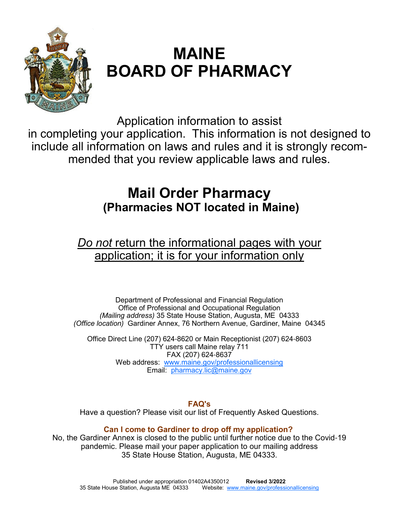

# **MAINE BOARD OF PHARMACY**

Application information to assist in completing your application. This information is not designed to include all information on laws and rules and it is strongly recommended that you review applicable laws and rules.

# **Mail Order Pharmacy (Pharmacies NOT located in Maine)**

# *Do not* return the informational pages with your application; it is for your information only

Department of Professional and Financial Regulation Office of Professional and Occupational Regulation *(Mailing address)* 35 State House Station, Augusta, ME 04333 *(Office location)* Gardiner Annex, 76 Northern Avenue, Gardiner, Maine 04345

Office Direct Line (207) 624-8620 or Main Receptionist (207) 624-8603 TTY users call Maine relay 711 FAX (207) 624-8637 Web address: www.maine.gov/professionallicensing Email: pharmacy.lic@maine.gov

## **FAQ's**

Have a question? Please visit our list of Frequently Asked Questions.

# **Can I come to Gardiner to drop off my application?**

No, the Gardiner Annex is closed to the public until further notice due to the Covid-19 pandemic. Please mail your paper application to our mailing address 35 State House Station, Augusta, ME 04333.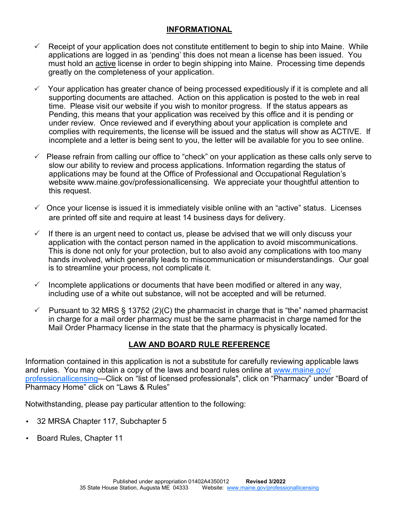#### **INFORMATIONAL**

- $\checkmark$  Receipt of your application does not constitute entitlement to begin to ship into Maine. While applications are logged in as 'pending' this does not mean a license has been issued. You must hold an active license in order to begin shipping into Maine. Processing time depends greatly on the completeness of your application.
- Your application has greater chance of being processed expeditiously if it is complete and all supporting documents are attached. Action on this application is posted to the web in real time. Please visit our website if you wish to monitor progress. If the status appears as Pending, this means that your application was received by this office and it is pending or under review. Once reviewed and if everything about your application is complete and complies with requirements, the license will be issued and the status will show as ACTIVE. If incomplete and a letter is being sent to you, the letter will be available for you to see online.
- Please refrain from calling our office to "check" on your application as these calls only serve to slow our ability to review and process applications. Information regarding the status of applications may be found at the Office of Professional and Occupational Regulation's website www.maine.gov/professionallicensing. We appreciate your thoughtful attention to this request.
- $\checkmark$  Once your license is issued it is immediately visible online with an "active" status. Licenses are printed off site and require at least 14 business days for delivery.
- $\checkmark$  If there is an urgent need to contact us, please be advised that we will only discuss your application with the contact person named in the application to avoid miscommunications. This is done not only for your protection, but to also avoid any complications with too many hands involved, which generally leads to miscommunication or misunderstandings. Our goal is to streamline your process, not complicate it.
- $\checkmark$  Incomplete applications or documents that have been modified or altered in any way, including use of a white out substance, will not be accepted and will be returned.
- $\checkmark$  Pursuant to 32 MRS § 13752 (2)(C) the pharmacist in charge that is "the" named pharmacist in charge for a mail order pharmacy must be the same pharmacist in charge named for the Mail Order Pharmacy license in the state that the pharmacy is physically located.

## **LAW AND BOARD RULE REFERENCE**

Information contained in this application is not a substitute for carefully reviewing applicable laws and rules. You may obtain a copy of the laws and board rules online at www.maine.gov/ professionallicensing—Click on "list of licensed professionals", click on "Pharmacy" under "Board of Pharmacy Home" click on "Laws & Rules"

Notwithstanding, please pay particular attention to the following:

- 32 MRSA Chapter 117, Subchapter 5
- Board Rules, Chapter 11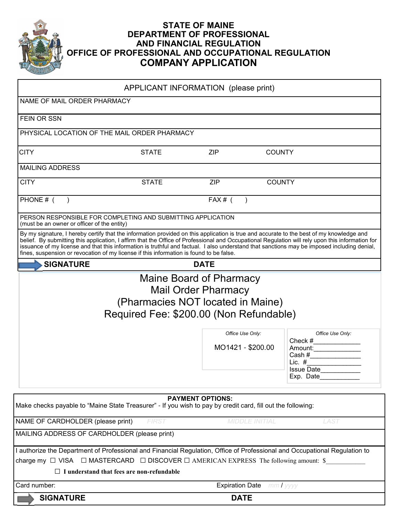

## **STATE OF MAINE DEPARTMENT OF PROFESSIONAL AND FINANCIAL REGULATION OFFICE OF PROFESSIONAL AND OCCUPATIONAL REGULATION COMPANY APPLICATION**

|                                                                                                                                                                                                                                                                                                                                                                                                                                                                                                                                        | APPLICANT INFORMATION (please print)                                         |                                       |                       |                                                                                        |
|----------------------------------------------------------------------------------------------------------------------------------------------------------------------------------------------------------------------------------------------------------------------------------------------------------------------------------------------------------------------------------------------------------------------------------------------------------------------------------------------------------------------------------------|------------------------------------------------------------------------------|---------------------------------------|-----------------------|----------------------------------------------------------------------------------------|
| NAME OF MAIL ORDER PHARMACY                                                                                                                                                                                                                                                                                                                                                                                                                                                                                                            |                                                                              |                                       |                       |                                                                                        |
| FEIN OR SSN                                                                                                                                                                                                                                                                                                                                                                                                                                                                                                                            |                                                                              |                                       |                       |                                                                                        |
| PHYSICAL LOCATION OF THE MAIL ORDER PHARMACY                                                                                                                                                                                                                                                                                                                                                                                                                                                                                           |                                                                              |                                       |                       |                                                                                        |
| <b>CITY</b>                                                                                                                                                                                                                                                                                                                                                                                                                                                                                                                            | <b>STATE</b>                                                                 | <b>ZIP</b>                            | <b>COUNTY</b>         |                                                                                        |
| <b>MAILING ADDRESS</b>                                                                                                                                                                                                                                                                                                                                                                                                                                                                                                                 |                                                                              |                                       |                       |                                                                                        |
| <b>CITY</b>                                                                                                                                                                                                                                                                                                                                                                                                                                                                                                                            | <b>STATE</b>                                                                 | <b>ZIP</b>                            | <b>COUNTY</b>         |                                                                                        |
| PHONE # (                                                                                                                                                                                                                                                                                                                                                                                                                                                                                                                              |                                                                              | $FAX#$ (                              |                       |                                                                                        |
| PERSON RESPONSIBLE FOR COMPLETING AND SUBMITTING APPLICATION<br>(must be an owner or officer of the entity)                                                                                                                                                                                                                                                                                                                                                                                                                            |                                                                              |                                       |                       |                                                                                        |
| By my signature, I hereby certify that the information provided on this application is true and accurate to the best of my knowledge and<br>belief. By submitting this application, I affirm that the Office of Professional and Occupational Regulation will rely upon this information for<br>issuance of my license and that this information is truthful and factual. I also understand that sanctions may be imposed including denial,<br>fines, suspension or revocation of my license if this information is found to be false. |                                                                              |                                       |                       |                                                                                        |
| <b>SIGNATURE</b>                                                                                                                                                                                                                                                                                                                                                                                                                                                                                                                       |                                                                              | <b>DATE</b>                           |                       |                                                                                        |
|                                                                                                                                                                                                                                                                                                                                                                                                                                                                                                                                        | (Pharmacies NOT located in Maine)<br>Required Fee: \$200.00 (Non Refundable) | <b>Mail Order Pharmacy</b>            |                       |                                                                                        |
|                                                                                                                                                                                                                                                                                                                                                                                                                                                                                                                                        |                                                                              | Office Use Only:<br>MO1421 - \$200.00 |                       | Office Use Only:<br>Check $#$<br>Amount:<br>Lic. $#$<br><b>Issue Date</b><br>Exp. Date |
| Make checks payable to "Maine State Treasurer" - If you wish to pay by credit card, fill out the following:                                                                                                                                                                                                                                                                                                                                                                                                                            |                                                                              | <b>PAYMENT OPTIONS:</b>               |                       |                                                                                        |
| NAME OF CARDHOLDER (please print)                                                                                                                                                                                                                                                                                                                                                                                                                                                                                                      | <b>FIRST</b>                                                                 |                                       | <b>MIDDLE INITIAL</b> | LAST                                                                                   |
| MAILING ADDRESS OF CARDHOLDER (please print)                                                                                                                                                                                                                                                                                                                                                                                                                                                                                           |                                                                              |                                       |                       |                                                                                        |
| I authorize the Department of Professional and Financial Regulation, Office of Professional and Occupational Regulation to<br>charge my $\Box$ VISA $\Box$ MASTERCARD $\Box$ DISCOVER $\Box$ AMERICAN EXPRESS The following amount: \$<br>$\Box$ I understand that fees are non-refundable                                                                                                                                                                                                                                             |                                                                              |                                       |                       |                                                                                        |
| Card number:                                                                                                                                                                                                                                                                                                                                                                                                                                                                                                                           |                                                                              | <b>Expiration Date</b>                |                       | $mmI$ yyyy                                                                             |
| <b>SIGNATURE</b>                                                                                                                                                                                                                                                                                                                                                                                                                                                                                                                       |                                                                              | <b>DATE</b>                           |                       |                                                                                        |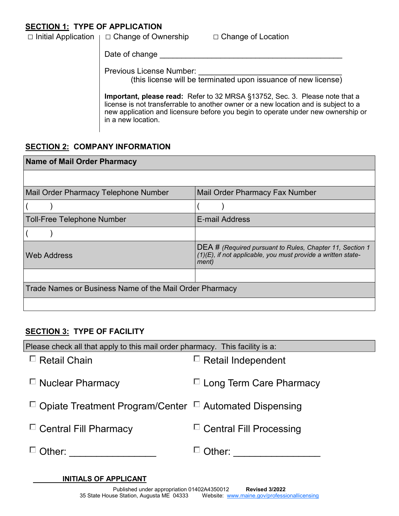# **SECTION 1: TYPE OF APPLICATION**

| $\Box$ Initial Application $\Box$ | □ Change of Ownership<br>$\Box$ Change of Location                                                                                                                                                                                                                           |
|-----------------------------------|------------------------------------------------------------------------------------------------------------------------------------------------------------------------------------------------------------------------------------------------------------------------------|
|                                   | Date of change                                                                                                                                                                                                                                                               |
|                                   | <b>Previous License Number:</b><br>(this license will be terminated upon issuance of new license)                                                                                                                                                                            |
|                                   | Important, please read: Refer to 32 MRSA §13752, Sec. 3. Please note that a<br>license is not transferrable to another owner or a new location and is subject to a<br>new application and licensure before you begin to operate under new ownership or<br>in a new location. |

# **SECTION 2: COMPANY INFORMATION**

| <b>Name of Mail Order Pharmacy</b>                      |                                                                                                                                             |  |  |  |  |
|---------------------------------------------------------|---------------------------------------------------------------------------------------------------------------------------------------------|--|--|--|--|
|                                                         |                                                                                                                                             |  |  |  |  |
| Mail Order Pharmacy Telephone Number                    | Mail Order Pharmacy Fax Number                                                                                                              |  |  |  |  |
|                                                         |                                                                                                                                             |  |  |  |  |
| <b>Toll-Free Telephone Number</b>                       | <b>E-mail Address</b>                                                                                                                       |  |  |  |  |
|                                                         |                                                                                                                                             |  |  |  |  |
| <b>Web Address</b>                                      | <b>DEA # (Required pursuant to Rules, Chapter 11, Section 1</b><br>$(1)(E)$ , if not applicable, you must provide a written state-<br>ment) |  |  |  |  |
|                                                         |                                                                                                                                             |  |  |  |  |
| Trade Names or Business Name of the Mail Order Pharmacy |                                                                                                                                             |  |  |  |  |
|                                                         |                                                                                                                                             |  |  |  |  |

# **SECTION 3: TYPE OF FACILITY**

| Please check all that apply to this mail order pharmacy. This facility is a: |                                |
|------------------------------------------------------------------------------|--------------------------------|
| <b>Retail Chain</b>                                                          | $\Box$ Retail Independent      |
| $\Box$ Nuclear Pharmacy                                                      | $\Box$ Long Term Care Pharmacy |
| $\Box$ Opiate Treatment Program/Center $\Box$ Automated Dispensing           |                                |
| $\Box$ Central Fill Pharmacy                                                 | $\Box$ Central Fill Processing |
| Other:                                                                       | Other:                         |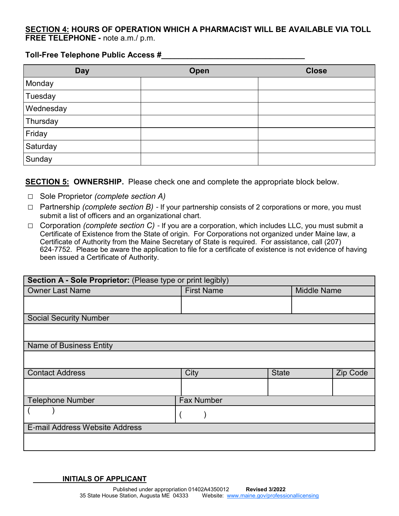#### **SECTION 4: HOURS OF OPERATION WHICH A PHARMACIST WILL BE AVAILABLE VIA TOLL FREE TELEPHONE -** note a.m./ p.m.

#### **Toll-Free Telephone Public Access #\_\_\_\_\_\_\_\_\_\_\_\_\_\_\_\_\_\_\_\_\_\_\_\_\_\_\_\_\_\_\_\_\_**

| <b>Day</b> | Open | <b>Close</b> |
|------------|------|--------------|
| Monday     |      |              |
| Tuesday    |      |              |
| Wednesday  |      |              |
| Thursday   |      |              |
| Friday     |      |              |
| Saturday   |      |              |
| Sunday     |      |              |

#### **SECTION 5: OWNERSHIP.** Please check one and complete the appropriate block below.

- □ Sole Proprietor *(complete section A)*
- □ Partnership *(complete section B)*  If your partnership consists of 2 corporations or more, you must submit a list of officers and an organizational chart.
- □ Corporation *(complete section C)*  If you are a corporation, which includes LLC, you must submit a Certificate of Existence from the State of origin. For Corporations not organized under Maine law, a Certificate of Authority from the Maine Secretary of State is required. For assistance, call (207) 624-7752. Please be aware the application to file for a certificate of existence is not evidence of having been issued a Certificate of Authority.

| Section A - Sole Proprietor: (Please type or print legibly) |                   |              |                    |          |  |  |
|-------------------------------------------------------------|-------------------|--------------|--------------------|----------|--|--|
| <b>Owner Last Name</b>                                      | <b>First Name</b> |              | <b>Middle Name</b> |          |  |  |
|                                                             |                   |              |                    |          |  |  |
|                                                             |                   |              |                    |          |  |  |
| <b>Social Security Number</b>                               |                   |              |                    |          |  |  |
|                                                             |                   |              |                    |          |  |  |
| <b>Name of Business Entity</b>                              |                   |              |                    |          |  |  |
|                                                             |                   |              |                    |          |  |  |
| <b>Contact Address</b>                                      | City              | <b>State</b> |                    | Zip Code |  |  |
|                                                             |                   |              |                    |          |  |  |
| <b>Telephone Number</b>                                     | <b>Fax Number</b> |              |                    |          |  |  |
|                                                             |                   |              |                    |          |  |  |
| E-mail Address Website Address                              |                   |              |                    |          |  |  |
|                                                             |                   |              |                    |          |  |  |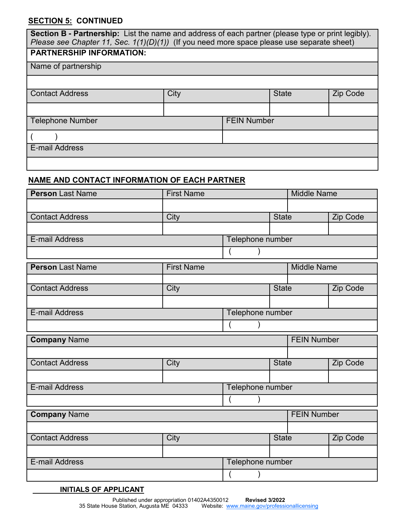# **SECTION 5: CONTINUED**

| Section B - Partnership: List the name and address of each partner (please type or print legibly).<br>Please see Chapter 11, Sec. $1(1)(D)(1)$ (If you need more space please use separate sheet) |      |                    |              |                 |  |  |
|---------------------------------------------------------------------------------------------------------------------------------------------------------------------------------------------------|------|--------------------|--------------|-----------------|--|--|
| <b>PARTNERSHIP INFORMATION:</b>                                                                                                                                                                   |      |                    |              |                 |  |  |
|                                                                                                                                                                                                   |      |                    |              |                 |  |  |
| Name of partnership                                                                                                                                                                               |      |                    |              |                 |  |  |
|                                                                                                                                                                                                   |      |                    |              |                 |  |  |
| <b>Contact Address</b>                                                                                                                                                                            | City |                    | <b>State</b> | <b>Zip Code</b> |  |  |
|                                                                                                                                                                                                   |      |                    |              |                 |  |  |
| <b>Telephone Number</b>                                                                                                                                                                           |      | <b>FEIN Number</b> |              |                 |  |  |
|                                                                                                                                                                                                   |      |                    |              |                 |  |  |
| <b>E-mail Address</b>                                                                                                                                                                             |      |                    |              |                 |  |  |
|                                                                                                                                                                                                   |      |                    |              |                 |  |  |

# **NAME AND CONTACT INFORMATION OF EACH PARTNER**

| <b>Person Last Name</b> | <b>First Name</b> |                  |              | <b>Middle Name</b> |          |  |
|-------------------------|-------------------|------------------|--------------|--------------------|----------|--|
|                         |                   |                  |              |                    |          |  |
| <b>Contact Address</b>  | City              |                  | State        |                    | Zip Code |  |
|                         |                   |                  |              |                    |          |  |
| <b>E-mail Address</b>   |                   | Telephone number |              |                    |          |  |
|                         |                   |                  |              |                    |          |  |
| <b>Person Last Name</b> | <b>First Name</b> |                  |              | <b>Middle Name</b> |          |  |
|                         |                   |                  |              |                    |          |  |
| <b>Contact Address</b>  | City              |                  | <b>State</b> |                    | Zip Code |  |
|                         |                   |                  |              |                    |          |  |
| E-mail Address          |                   | Telephone number |              |                    |          |  |
|                         |                   |                  |              |                    |          |  |
| <b>Company Name</b>     |                   |                  |              | <b>FEIN Number</b> |          |  |
|                         |                   |                  |              |                    |          |  |
| <b>Contact Address</b>  | <b>City</b>       |                  | <b>State</b> |                    | Zip Code |  |
|                         |                   |                  |              |                    |          |  |
| E-mail Address          |                   | Telephone number |              |                    |          |  |
|                         |                   |                  |              |                    |          |  |
| <b>Company Name</b>     |                   |                  |              | <b>FEIN Number</b> |          |  |
|                         |                   |                  |              |                    |          |  |
| <b>Contact Address</b>  | City              |                  | <b>State</b> |                    | Zip Code |  |
|                         |                   |                  |              |                    |          |  |
| E-mail Address          |                   | Telephone number |              |                    |          |  |
|                         |                   |                  |              |                    |          |  |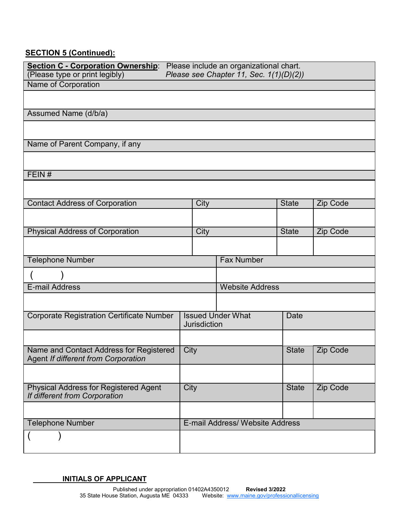# **SECTION 5 (Continued):**

| (Please type or print legibly)                                                 | Section C - Corporation Ownership: Please include an organizational chart.<br>Please see Chapter 11, Sec. 1(1)(D)(2)) |                                 |              |                 |  |
|--------------------------------------------------------------------------------|-----------------------------------------------------------------------------------------------------------------------|---------------------------------|--------------|-----------------|--|
| Name of Corporation                                                            |                                                                                                                       |                                 |              |                 |  |
|                                                                                |                                                                                                                       |                                 |              |                 |  |
| Assumed Name (d/b/a)                                                           |                                                                                                                       |                                 |              |                 |  |
|                                                                                |                                                                                                                       |                                 |              |                 |  |
| Name of Parent Company, if any                                                 |                                                                                                                       |                                 |              |                 |  |
|                                                                                |                                                                                                                       |                                 |              |                 |  |
| FEIN#                                                                          |                                                                                                                       |                                 |              |                 |  |
|                                                                                |                                                                                                                       |                                 |              |                 |  |
| <b>Contact Address of Corporation</b>                                          | City                                                                                                                  |                                 | <b>State</b> | Zip Code        |  |
|                                                                                |                                                                                                                       |                                 |              |                 |  |
| <b>Physical Address of Corporation</b>                                         | City                                                                                                                  |                                 | <b>State</b> | <b>Zip Code</b> |  |
|                                                                                |                                                                                                                       |                                 |              |                 |  |
| <b>Telephone Number</b>                                                        |                                                                                                                       | <b>Fax Number</b>               |              |                 |  |
|                                                                                |                                                                                                                       |                                 |              |                 |  |
| E-mail Address                                                                 |                                                                                                                       | <b>Website Address</b>          |              |                 |  |
|                                                                                |                                                                                                                       |                                 |              |                 |  |
|                                                                                |                                                                                                                       |                                 |              |                 |  |
| <b>Corporate Registration Certificate Number</b>                               | <b>Jurisdiction</b>                                                                                                   | <b>Issued Under What</b>        | <b>Date</b>  |                 |  |
|                                                                                |                                                                                                                       |                                 |              |                 |  |
| Name and Contact Address for Registered<br>Agent If different from Corporation | <b>City</b>                                                                                                           |                                 | <b>State</b> | <b>Zip Code</b> |  |
|                                                                                |                                                                                                                       |                                 |              |                 |  |
| <b>Physical Address for Registered Agent</b><br>If different from Corporation  | City                                                                                                                  |                                 | <b>State</b> | Zip Code        |  |
|                                                                                |                                                                                                                       |                                 |              |                 |  |
| <b>Telephone Number</b>                                                        |                                                                                                                       | E-mail Address/ Website Address |              |                 |  |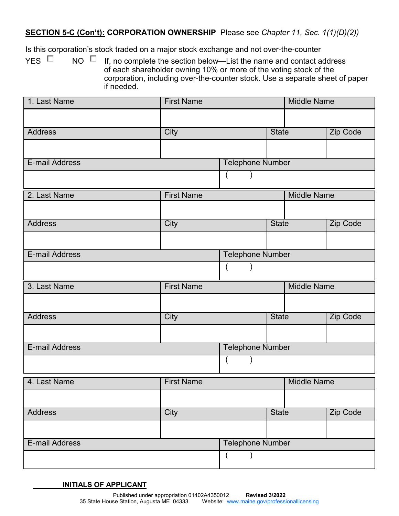#### **SECTION 5-C (Con't): CORPORATION OWNERSHIP** Please see *Chapter 11, Sec. 1(1)(D)(2))*

Is this corporation's stock traded on a major stock exchange and not over-the-counter

YES  $\Box$  NO  $\Box$  If, no complete the section below—List the name and contact address of each shareholder owning 10% or more of the voting stock of the corporation, including over-the-counter stock. Use a separate sheet of paper if needed.

| 1. Last Name   | <b>First Name</b> |                         |              | <b>Middle Name</b> |                 |  |
|----------------|-------------------|-------------------------|--------------|--------------------|-----------------|--|
|                |                   |                         |              |                    |                 |  |
| <b>Address</b> | City              |                         | <b>State</b> |                    | Zip Code        |  |
|                |                   |                         |              |                    |                 |  |
| E-mail Address |                   | <b>Telephone Number</b> |              |                    |                 |  |
|                |                   | $\overline{(}$          |              |                    |                 |  |
| 2. Last Name   | <b>First Name</b> |                         |              | <b>Middle Name</b> |                 |  |
|                |                   |                         |              |                    |                 |  |
| <b>Address</b> | City              |                         | <b>State</b> |                    | <b>Zip Code</b> |  |
|                |                   |                         |              |                    |                 |  |
| E-mail Address |                   | <b>Telephone Number</b> |              |                    |                 |  |
|                |                   | $\overline{ }$          |              |                    |                 |  |
| 3. Last Name   | <b>First Name</b> |                         |              | <b>Middle Name</b> |                 |  |
|                |                   |                         |              |                    |                 |  |
| <b>Address</b> | City              |                         | <b>State</b> |                    | Zip Code        |  |
|                |                   |                         |              |                    |                 |  |
| E-mail Address |                   | <b>Telephone Number</b> |              |                    |                 |  |
|                |                   | $\overline{(}$          |              |                    |                 |  |
| 4. Last Name   | <b>First Name</b> |                         |              | <b>Middle Name</b> |                 |  |
|                |                   |                         |              |                    |                 |  |
| <b>Address</b> | City              |                         | <b>State</b> |                    | Zip Code        |  |
|                |                   |                         |              |                    |                 |  |
|                |                   |                         |              |                    |                 |  |
| E-mail Address |                   | <b>Telephone Number</b> |              |                    |                 |  |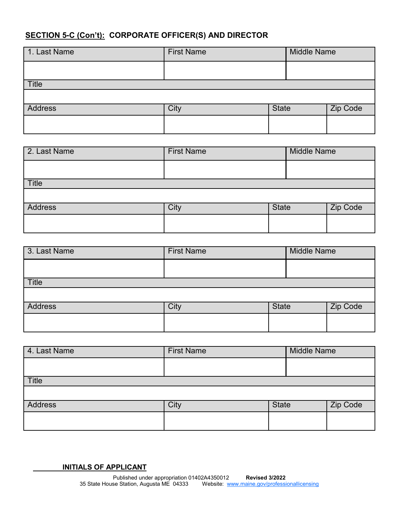# **SECTION 5-C (Con't): CORPORATE OFFICER(S) AND DIRECTOR**

| 1. Last Name   | <b>First Name</b> |              | <b>Middle Name</b> |  |
|----------------|-------------------|--------------|--------------------|--|
|                |                   |              |                    |  |
| Title          |                   |              |                    |  |
|                |                   |              |                    |  |
| <b>Address</b> | City              | <b>State</b> | Zip Code           |  |
|                |                   |              |                    |  |

| 2. Last Name | <b>First Name</b> | <b>Middle Name</b> |          |
|--------------|-------------------|--------------------|----------|
|              |                   |                    |          |
| <b>Title</b> |                   |                    |          |
|              |                   |                    |          |
| Address      | City              | <b>State</b>       | Zip Code |
|              |                   |                    |          |

| 3. Last Name   | <b>First Name</b> |              | <b>Middle Name</b> |  |  |
|----------------|-------------------|--------------|--------------------|--|--|
|                |                   |              |                    |  |  |
| Title          |                   |              |                    |  |  |
|                |                   |              |                    |  |  |
| <b>Address</b> | City              | <b>State</b> | Zip Code           |  |  |
|                |                   |              |                    |  |  |

| 4. Last Name | <b>First Name</b> |              | <b>Middle Name</b> |          |
|--------------|-------------------|--------------|--------------------|----------|
|              |                   |              |                    |          |
| <b>Title</b> |                   |              |                    |          |
|              |                   |              |                    |          |
| Address      | City              | <b>State</b> |                    | Zip Code |
|              |                   |              |                    |          |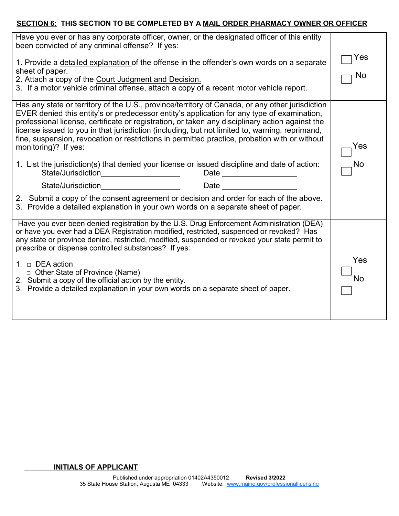#### **SECTION 6: THIS SECTION TO BE COMPLETED BY A MAIL ORDER PHARMACY OWNER OR OFFICER**

| Have you ever or has any corporate officer, owner, or the designated officer of this entity<br>been convicted of any criminal offense? If yes:                                                                                                                                                                                                                                                                                                                                                                                                                                                                                                                                                                               |                  |
|------------------------------------------------------------------------------------------------------------------------------------------------------------------------------------------------------------------------------------------------------------------------------------------------------------------------------------------------------------------------------------------------------------------------------------------------------------------------------------------------------------------------------------------------------------------------------------------------------------------------------------------------------------------------------------------------------------------------------|------------------|
| 1. Provide a detailed explanation of the offense in the offender's own words on a separate<br>sheet of paper.<br>2. Attach a copy of the Court Judgment and Decision.<br>3. If a motor vehicle criminal offense, attach a copy of a recent motor vehicle report.                                                                                                                                                                                                                                                                                                                                                                                                                                                             | Yes<br>No        |
| Has any state or territory of the U.S., province/territory of Canada, or any other jurisdiction<br><b>EVER</b> denied this entity's or predecessor entity's application for any type of examination,<br>professional license, certificate or registration, or taken any disciplinary action against the<br>license issued to you in that jurisdiction (including, but not limited to, warning, reprimand,<br>fine, suspension, revocation or restrictions in permitted practice, probation with or without<br>monitoring)? If yes:<br>1. List the jurisdiction(s) that denied your license or issued discipline and date of action:<br>State/Jurisdiction<br>Date _______________<br><u> 1980 - Johann Barbara, martin a</u> | Yes<br><b>No</b> |
| <u> 1980 - Johann Barbara, martxa</u><br>Date and the contract of the contract of the contract of the contract of the contract of the contract of the contract of the contract of the contract of the contract of the contract of the contract of the contract of the c<br>State/Jurisdiction                                                                                                                                                                                                                                                                                                                                                                                                                                |                  |
| 2. Submit a copy of the consent agreement or decision and order for each of the above.<br>3. Provide a detailed explanation in your own words on a separate sheet of paper.                                                                                                                                                                                                                                                                                                                                                                                                                                                                                                                                                  |                  |
| Have you ever been denied registration by the U.S. Drug Enforcement Administration (DEA)<br>or have you ever had a DEA Registration modified, restricted, suspended or revoked? Has<br>any state or province denied, restricted, modified, suspended or revoked your state permit to<br>prescribe or dispense controlled substances? If yes:                                                                                                                                                                                                                                                                                                                                                                                 |                  |
| 1. $\Box$ DEA action<br>$\Box$ Other State of Province (Name)<br>2. Submit a copy of the official action by the entity.<br>3. Provide a detailed explanation in your own words on a separate sheet of paper.                                                                                                                                                                                                                                                                                                                                                                                                                                                                                                                 | Yes<br>No        |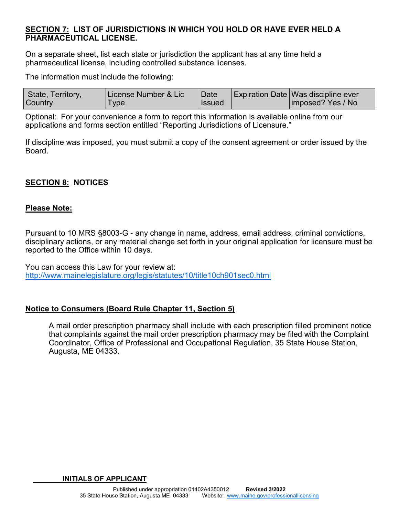#### **SECTION 7: LIST OF JURISDICTIONS IN WHICH YOU HOLD OR HAVE EVER HELD A PHARMACEUTICAL LICENSE.**

On a separate sheet, list each state or jurisdiction the applicant has at any time held a pharmaceutical license, including controlled substance licenses.

The information must include the following:

| State, Territory, | License Number & Lic | Date     | <b>Expiration Date Was discipline ever</b> |
|-------------------|----------------------|----------|--------------------------------------------|
| <b>Country</b>    | Type                 | l Issued | imposed? Yes / No                          |

Optional: For your convenience a form to report this information is available online from our applications and forms section entitled "Reporting Jurisdictions of Licensure."

If discipline was imposed, you must submit a copy of the consent agreement or order issued by the Board.

# **SECTION 8: NOTICES**

#### **Please Note:**

Pursuant to 10 MRS §8003-G - any change in name, address, email address, criminal convictions, disciplinary actions, or any material change set forth in your original application for licensure must be reported to the Office within 10 days.

You can access this Law for your review at: http://www.mainelegislature.org/legis/statutes/10/title10ch901sec0.html

#### **Notice to Consumers (Board Rule Chapter 11, Section 5)**

A mail order prescription pharmacy shall include with each prescription filled prominent notice that complaints against the mail order prescription pharmacy may be filed with the Complaint Coordinator, Office of Professional and Occupational Regulation, 35 State House Station, Augusta, ME 04333.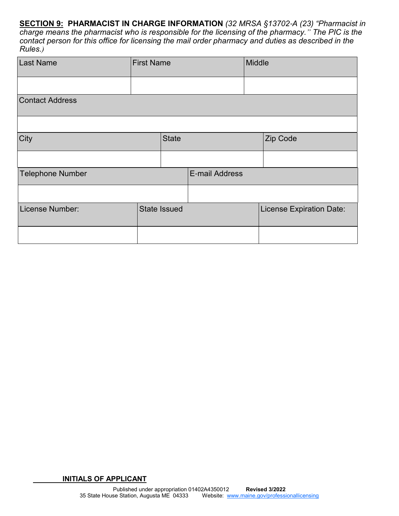**SECTION 9: PHARMACIST IN CHARGE INFORMATION** *(32 MRSA §13702*-*A (23) "Pharmacist in charge means the pharmacist who is responsible for the licensing of the pharmacy." The PIC is the contact person for this office for licensing the mail order pharmacy and duties as described in the Rules.)*

| Last Name               | <b>First Name</b> |                     | Middle                |  |                                 |
|-------------------------|-------------------|---------------------|-----------------------|--|---------------------------------|
|                         |                   |                     |                       |  |                                 |
| <b>Contact Address</b>  |                   |                     |                       |  |                                 |
|                         |                   |                     |                       |  |                                 |
| City                    |                   | <b>State</b>        |                       |  | Zip Code                        |
|                         |                   |                     |                       |  |                                 |
| <b>Telephone Number</b> |                   |                     | <b>E-mail Address</b> |  |                                 |
|                         |                   |                     |                       |  |                                 |
| License Number:         |                   | <b>State Issued</b> |                       |  | <b>License Expiration Date:</b> |
|                         |                   |                     |                       |  |                                 |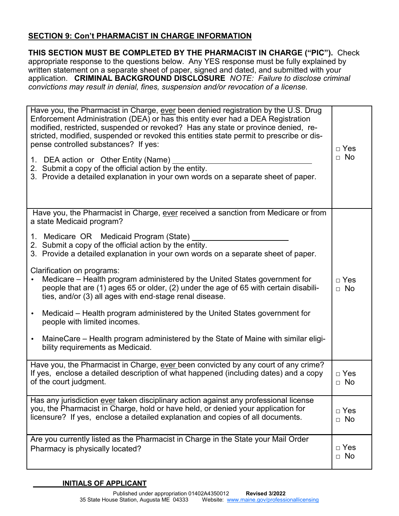# **SECTION 9: Con't PHARMACIST IN CHARGE INFORMATION**

**THIS SECTION MUST BE COMPLETED BY THE PHARMACIST IN CHARGE ("PIC").** Check appropriate response to the questions below. Any YES response must be fully explained by written statement on a separate sheet of paper, signed and dated, and submitted with your application. **CRIMINAL BACKGROUND DISCLOSURE** *NOTE: Failure to disclose criminal convictions may result in denial, fines, suspension and/or revocation of a license.*

| Have you, the Pharmacist in Charge, ever been denied registration by the U.S. Drug<br>Enforcement Administration (DEA) or has this entity ever had a DEA Registration<br>modified, restricted, suspended or revoked? Has any state or province denied, re-<br>stricted, modified, suspended or revoked this entities state permit to prescribe or dis-<br>pense controlled substances? If yes:<br>1. DEA action or Other Entity (Name)<br>2. Submit a copy of the official action by the entity.<br>3. Provide a detailed explanation in your own words on a separate sheet of paper. | $\Box$ Yes<br>$\Box$ No   |  |
|---------------------------------------------------------------------------------------------------------------------------------------------------------------------------------------------------------------------------------------------------------------------------------------------------------------------------------------------------------------------------------------------------------------------------------------------------------------------------------------------------------------------------------------------------------------------------------------|---------------------------|--|
| Have you, the Pharmacist in Charge, ever received a sanction from Medicare or from<br>a state Medicaid program?                                                                                                                                                                                                                                                                                                                                                                                                                                                                       |                           |  |
| 1. Medicare OR Medicaid Program (State)<br>2. Submit a copy of the official action by the entity.<br>3. Provide a detailed explanation in your own words on a separate sheet of paper.                                                                                                                                                                                                                                                                                                                                                                                                |                           |  |
| Clarification on programs:<br>Medicare – Health program administered by the United States government for<br>people that are (1) ages 65 or older, (2) under the age of 65 with certain disabili-<br>ties, and/or (3) all ages with end-stage renal disease.                                                                                                                                                                                                                                                                                                                           | $\sqcap$ Yes<br>$\Box$ No |  |
| Medicaid – Health program administered by the United States government for<br>people with limited incomes.                                                                                                                                                                                                                                                                                                                                                                                                                                                                            |                           |  |
| MaineCare – Health program administered by the State of Maine with similar eligi-<br>bility requirements as Medicaid.                                                                                                                                                                                                                                                                                                                                                                                                                                                                 |                           |  |
| Have you, the Pharmacist in Charge, ever been convicted by any court of any crime?<br>If yes, enclose a detailed description of what happened (including dates) and a copy<br>of the court judgment.                                                                                                                                                                                                                                                                                                                                                                                  | $\Box$ Yes<br>$\Box$ No   |  |
| Has any jurisdiction ever taken disciplinary action against any professional license<br>you, the Pharmacist in Charge, hold or have held, or denied your application for<br>licensure? If yes, enclose a detailed explanation and copies of all documents.                                                                                                                                                                                                                                                                                                                            |                           |  |
| Are you currently listed as the Pharmacist in Charge in the State your Mail Order<br>Pharmacy is physically located?                                                                                                                                                                                                                                                                                                                                                                                                                                                                  |                           |  |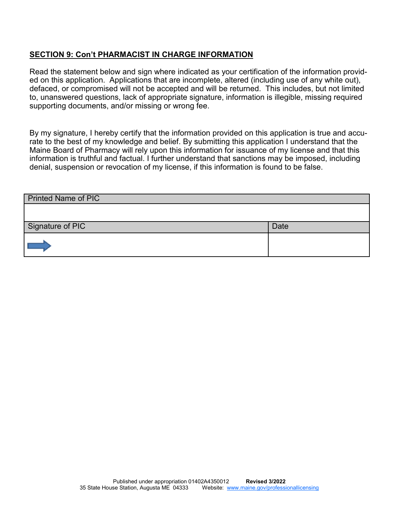#### **SECTION 9: Con't PHARMACIST IN CHARGE INFORMATION**

Read the statement below and sign where indicated as your certification of the information provided on this application. Applications that are incomplete, altered (including use of any white out), defaced, or compromised will not be accepted and will be returned. This includes, but not limited to, unanswered questions, lack of appropriate signature, information is illegible, missing required supporting documents, and/or missing or wrong fee.

By my signature, I hereby certify that the information provided on this application is true and accurate to the best of my knowledge and belief. By submitting this application I understand that the Maine Board of Pharmacy will rely upon this information for issuance of my license and that this information is truthful and factual. I further understand that sanctions may be imposed, including denial, suspension or revocation of my license, if this information is found to be false.

| <b>Printed Name of PIC</b> |             |
|----------------------------|-------------|
|                            |             |
| Signature of PIC           | <b>Date</b> |
|                            |             |